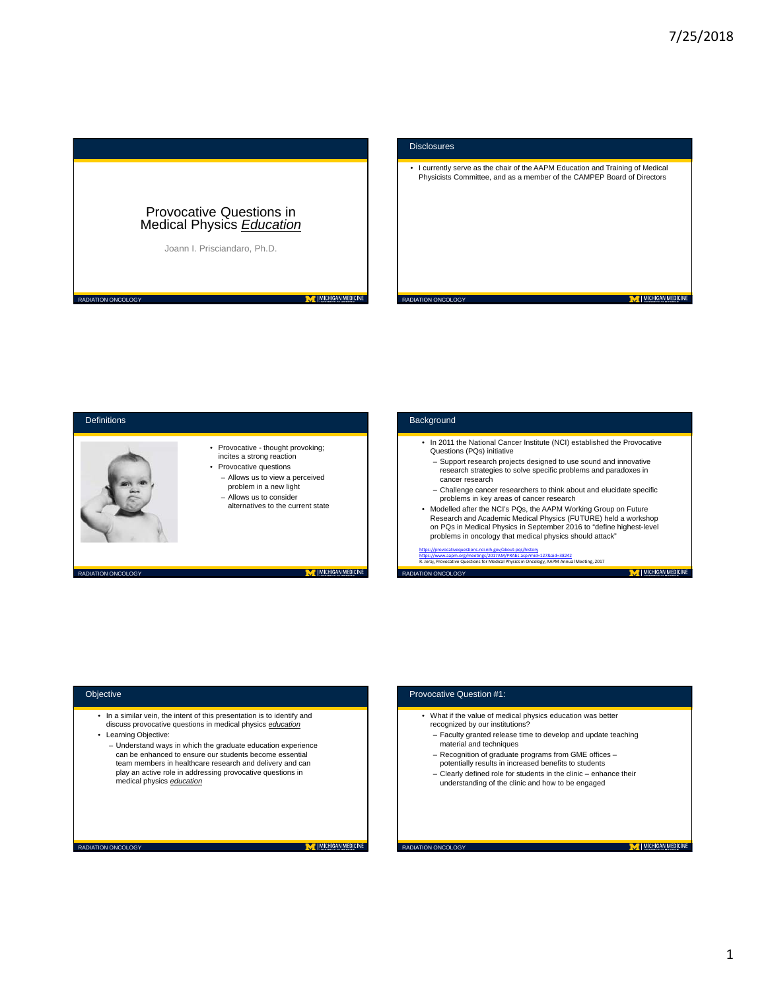M | MICHIGAN MEDICINE



# **Disclosures**

• I currently serve as the chair of the AAPM Education and Training of Medical Physicists Committee, and as a member of the CAMPEP Board of Directors

RADIATION ONCOLOGY

M | MICHIGAN MEDICINE



### Objective

RADIATION ONCOLOGY

RADIATION ONCOLOGY

- In a similar vein, the intent of this presentation is to identify and discuss provocative questions in medical physics *education*
- Learning Objective:
	- Understand ways in which the graduate education experience can be enhanced to ensure our students become essential team members in healthcare research and delivery and can play an active role in addressing provocative questions in medical physics *education*

M | MICHIGAN MEDICINE

# Provocative Question #1:• What if the value of medical physics education was better recognized by our institutions? – Faculty granted release time to develop and update teaching material and techniques – Recognition of graduate programs from GME offices – potentially results in increased benefits to students – Clearly defined role for students in the clinic – enhance their understanding of the clinic and how to be engaged M | MICHIGAN MEDICINE RADIATION ONCOLOGY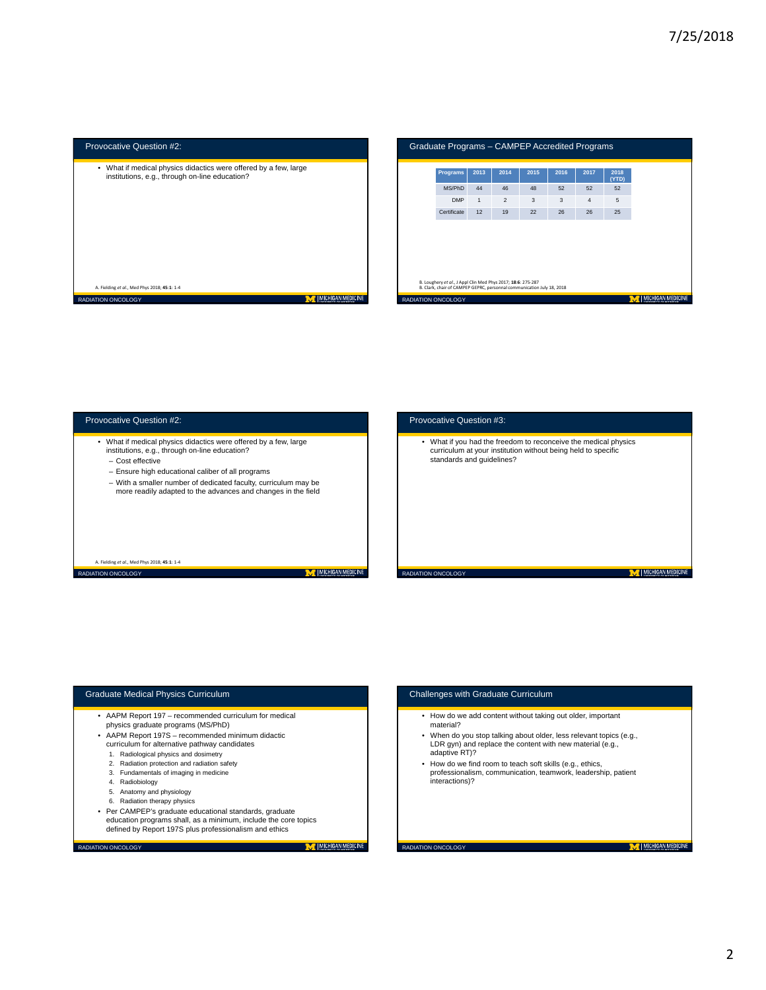| Provocative Question #2:<br>Graduate Programs - CAMPEP Accredited Programs                                         |                                                                                                                                        |                 |      |                |              |      |                |               |                                                     |
|--------------------------------------------------------------------------------------------------------------------|----------------------------------------------------------------------------------------------------------------------------------------|-----------------|------|----------------|--------------|------|----------------|---------------|-----------------------------------------------------|
| • What if medical physics didactics were offered by a few, large<br>institutions, e.g., through on-line education? |                                                                                                                                        | <b>Programs</b> | 2013 | 2014           | 2015         | 2016 | 2017           | 2018<br>(YTD) |                                                     |
|                                                                                                                    |                                                                                                                                        | MS/PhD          | 44   | 46             | 48           | 52   | 52             | 52            |                                                     |
| A. Fielding et al., Med Phys 2018; 45:1: 1-4                                                                       |                                                                                                                                        | <b>DMP</b>      |      | $\overline{2}$ | $\mathbf{3}$ | 3    | $\overline{4}$ | 5             |                                                     |
|                                                                                                                    |                                                                                                                                        | Certificate     | 12   | 19             | 22           | 26   | 26             | 25            |                                                     |
|                                                                                                                    | B. Loughery et al., J Appl Clin Med Phys 2017; 18:6: 275-287<br>B. Clark, chair of CAMPEP GEPRC, personnal communication July 18, 2018 |                 |      |                |              |      |                |               |                                                     |
| MICHIGAN MEDICINE<br>RADIATION ONCOLOGY                                                                            | RADIATION ONCOLOGY                                                                                                                     |                 |      |                |              |      |                |               | MICHIGAN MEDICINE<br><b>INTEGRATIVE OF MICHIGAN</b> |



## Graduate Medical Physics Curriculum

- AAPM Report 197 recommended curriculum for medical physics graduate programs (MS/PhD)
- AAPM Report 197S recommended minimum didactic curriculum for alternative pathway candidates
	- 1. Radiological physics and dosimetry
	- 2. Radiation protection and radiation safety
	- 3. Fundamentals of imaging in medicine
	- 4. Radiobiology
	- 5. Anatomy and physiology
	- 6. Radiation therapy physics
- Per CAMPEP's graduate educational standards, graduate education programs shall, as a minimum, include the core topics defined by Report 197S plus professionalism and ethics

RADIATION ONCOLOGY

M | MICHIGAN MEDICINE

## Challenges with Graduate Curriculum

- How do we add content without taking out older, important material?
- When do you stop talking about older, less relevant topics (e.g., LDR gyn) and replace the content with new material (e.g., adaptive RT)?
- How do we find room to teach soft skills (e.g., ethics, professionalism, communication, teamwork, leadership, patient interactions)?

RADIATION ONCOLOGY

M | MICHIGAN MEDICINE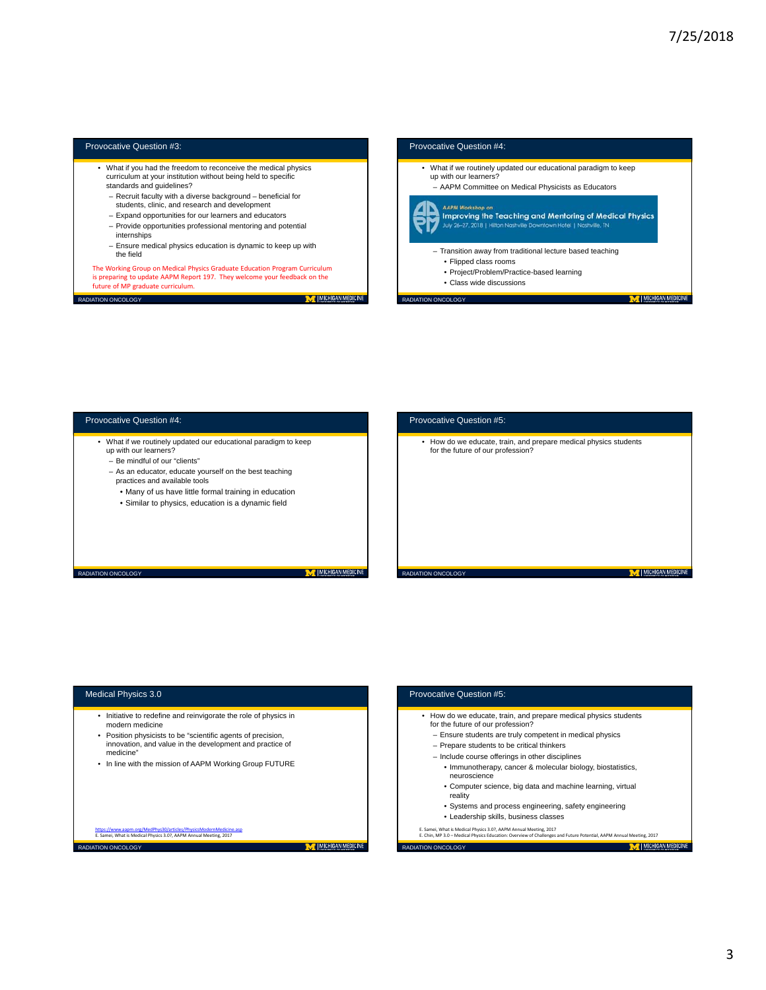M | MICHIGAN MEDICINE

M | MICHIGAN MEDICINE

### Provocative Question #3:

- What if you had the freedom to reconceive the medical physics curriculum at your institution without being held to specific standards and guidelines?
	-
	- Recruit faculty with a diverse background beneficial for students, clinic, and research and development
	- Expand opportunities for our learners and educators
	- Provide opportunities professional mentoring and potential
	- internships
	- Ensure medical physics education is dynamic to keep up with the field

The Working Group on Medical Physics Graduate Education Program Curriculum is preparing to update AAPM Report 197. They welcome your feedback on the future of MP graduate curriculum.

**RADIATION ONCOLOGY** 

## Provocative Question #4:

- What if we routinely updated our educational paradigm to keep up with our learners?
- AAPM Committee on Medical Physicists as Educators

#### **AAPM Works**



- Transition away from traditional lecture based teaching • Flipped class rooms • Project/Problem/Practice-based learning
	- Class wide discussions

RADIATION ONCOLOGY

Provocative Question #5:

Provocative Question #5:

### Provocative Question #4:

- What if we routinely updated our educational paradigm to keep up with our learners?
	- Be mindful of our "clients"
	- As an educator, educate yourself on the best teaching practices and available tools
	- Many of us have little formal training in education
	- Similar to physics, education is a dynamic field
	-

RADIATION ONCOLOGY

**T** | MICHIGAN MEDICIN

M | MICHIGAN MEDICINE

M | MICHIGAN MEDICINE

# • How do we educate, train, and prepare medical physics students for the future of our profession?

RADIATION ONCOLOGY

# Medical Physics 3.0

RADIATION ONCOLOGY

- Initiative to redefine and reinvigorate the role of physics in modern medicine
- Position physicists to be "scientific agents of precision, innovation, and value in the development and practice of medicine"
- In line with the mission of AAPM Working Group FUTURE

https://www.aapm.org/MedPhys30/articles/PhysicsModernMedicine.asp<br>E. Samei, What is Medical Physics 3.0?, AAPM Annual Meeting, 2017

• How do we educate, train, and prepare medical physics students for the future of our profession? – Ensure students are truly competent in medical physics – Prepare students to be critical thinkers – Include course offerings in other disciplines • Immunotherapy, cancer & molecular biology, biostatistics, neuroscience • Computer science, big data and machine learning, virtual reality • Systems and process engineering, safety engineering • Leadership skills, business classes E. Samei, What is Medical Physics 3.0?, AAPM Annual Meeting, 2017 E. Chin, MP 3.0 – Medical Physics Education: Overview of Challenges and Future Potential, AAPM Annual Meeting, 2017 RADIATION ONCOLOGY M MICHIGAN MEDICINE